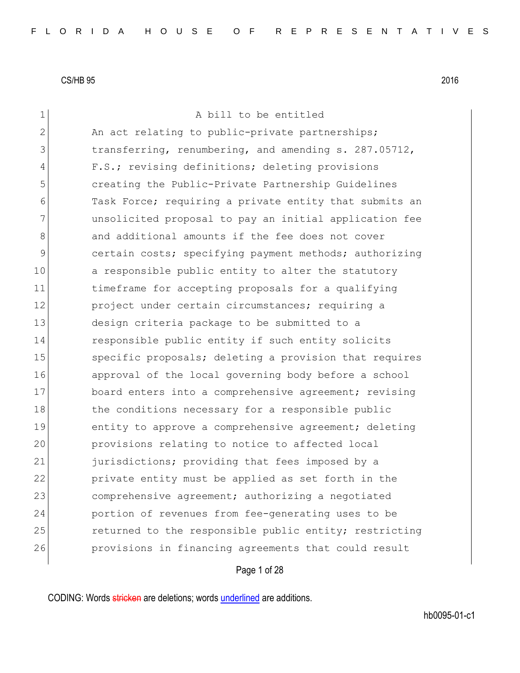1 a bill to be entitled  $2$  An act relating to public-private partnerships; 3 transferring, renumbering, and amending s. 287.05712, 4 F.S.; revising definitions; deleting provisions 5 creating the Public-Private Partnership Guidelines 6 Task Force; requiring a private entity that submits an 7 unsolicited proposal to pay an initial application fee 8 and additional amounts if the fee does not cover 9 certain costs; specifying payment methods; authorizing 10 a responsible public entity to alter the statutory 11 timeframe for accepting proposals for a qualifying 12 project under certain circumstances; requiring a 13 design criteria package to be submitted to a 14 responsible public entity if such entity solicits 15 Specific proposals; deleting a provision that requires 16 approval of the local governing body before a school 17 board enters into a comprehensive agreement; revising 18 the conditions necessary for a responsible public 19 entity to approve a comprehensive agreement; deleting 20 provisions relating to notice to affected local 21 furisdictions; providing that fees imposed by a 22 private entity must be applied as set forth in the 23 comprehensive agreement; authorizing a negotiated 24 portion of revenues from fee-generating uses to be 25 returned to the responsible public entity; restricting 26 provisions in financing agreements that could result

Page 1 of 28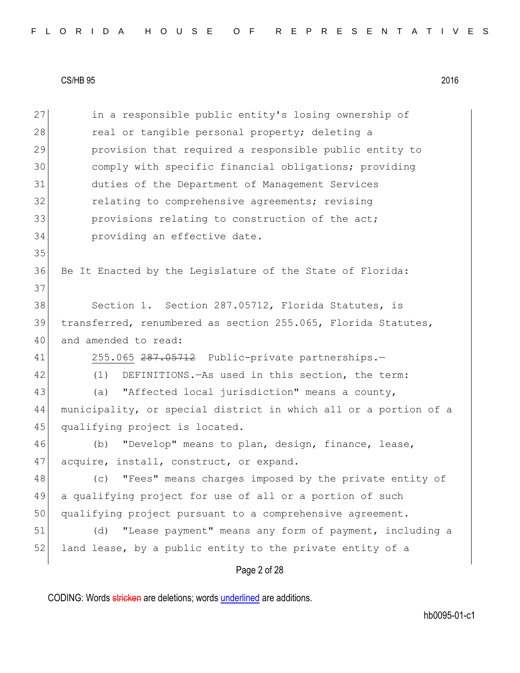Page 2 of 28 27 in a responsible public entity's losing ownership of 28 real or tangible personal property; deleting a 29 provision that required a responsible public entity to 30 comply with specific financial obligations; providing 31 duties of the Department of Management Services 32 **relating to comprehensive agreements;** revising 33 **provisions relating to construction of the act;** 34 **providing an effective date.** 35 36 Be It Enacted by the Legislature of the State of Florida: 37 38 Section 1. Section 287.05712, Florida Statutes, is 39 transferred, renumbered as section 255.065, Florida Statutes, 40 and amended to read: 41 255.065 287.05712 Public-private partnerships.-42 (1) DEFINITIONS.—As used in this section, the term: 43 (a) "Affected local jurisdiction" means a county, 44 municipality, or special district in which all or a portion of a 45 qualifying project is located. 46 (b) "Develop" means to plan, design, finance, lease, 47 acquire, install, construct, or expand. 48 (c) "Fees" means charges imposed by the private entity of 49 a qualifying project for use of all or a portion of such 50 qualifying project pursuant to a comprehensive agreement. 51 (d) "Lease payment" means any form of payment, including a 52 land lease, by a public entity to the private entity of a

CODING: Words stricken are deletions; words underlined are additions.

hb0095-01-c1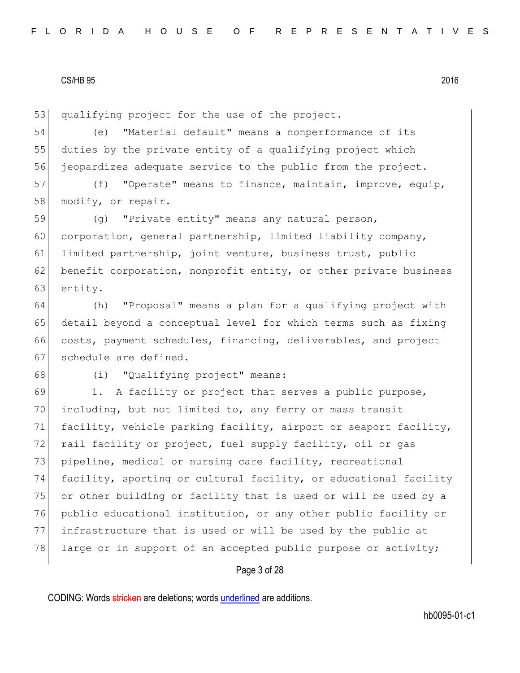53 qualifying project for the use of the project.

54 (e) "Material default" means a nonperformance of its 55 duties by the private entity of a qualifying project which 56 jeopardizes adequate service to the public from the project.

57 (f) "Operate" means to finance, maintain, improve, equip, 58 modify, or repair.

59 (g) "Private entity" means any natural person, 60 corporation, general partnership, limited liability company, 61 limited partnership, joint venture, business trust, public 62 benefit corporation, nonprofit entity, or other private business 63 entity.

 (h) "Proposal" means a plan for a qualifying project with detail beyond a conceptual level for which terms such as fixing costs, payment schedules, financing, deliverables, and project 67 schedule are defined.

68 (i) "Qualifying project" means:

69 1. A facility or project that serves a public purpose, 70 including, but not limited to, any ferry or mass transit 71 facility, vehicle parking facility, airport or seaport facility, 72 rail facility or project, fuel supply facility, oil or gas 73 pipeline, medical or nursing care facility, recreational 74 facility, sporting or cultural facility, or educational facility 75 or other building or facility that is used or will be used by a 76 public educational institution, or any other public facility or 77 infrastructure that is used or will be used by the public at 78 large or in support of an accepted public purpose or activity;

#### Page 3 of 28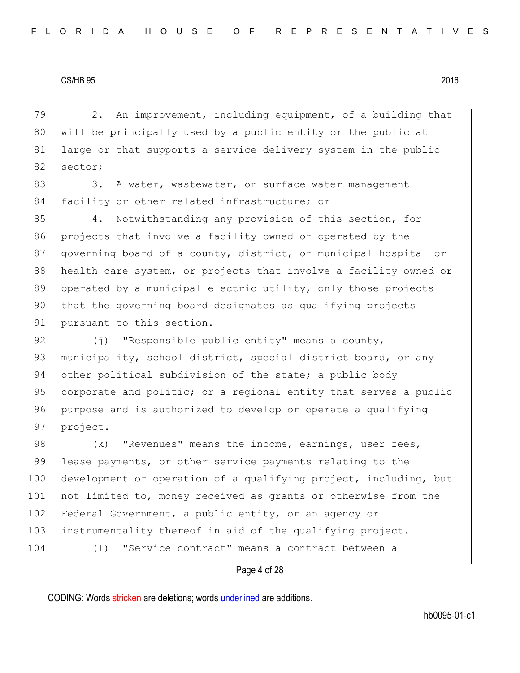79 2. An improvement, including equipment, of a building that 80 will be principally used by a public entity or the public at 81 large or that supports a service delivery system in the public 82 sector;

83 3. A water, wastewater, or surface water management 84 facility or other related infrastructure; or

85 4. Notwithstanding any provision of this section, for 86 projects that involve a facility owned or operated by the 87 governing board of a county, district, or municipal hospital or 88 health care system, or projects that involve a facility owned or 89 operated by a municipal electric utility, only those projects 90 that the governing board designates as qualifying projects 91 pursuant to this section.

92  $(j)$  "Responsible public entity" means a county, 93 municipality, school district, special district board, or any 94 other political subdivision of the state; a public body 95 corporate and politic; or a regional entity that serves a public 96 purpose and is authorized to develop or operate a qualifying 97 project.

98 (k) "Revenues" means the income, earnings, user fees, 99 lease payments, or other service payments relating to the 100 development or operation of a qualifying project, including, but 101 not limited to, money received as grants or otherwise from the 102 Federal Government, a public entity, or an agency or 103 instrumentality thereof in aid of the qualifying project. 104 (l) "Service contract" means a contract between a

Page 4 of 28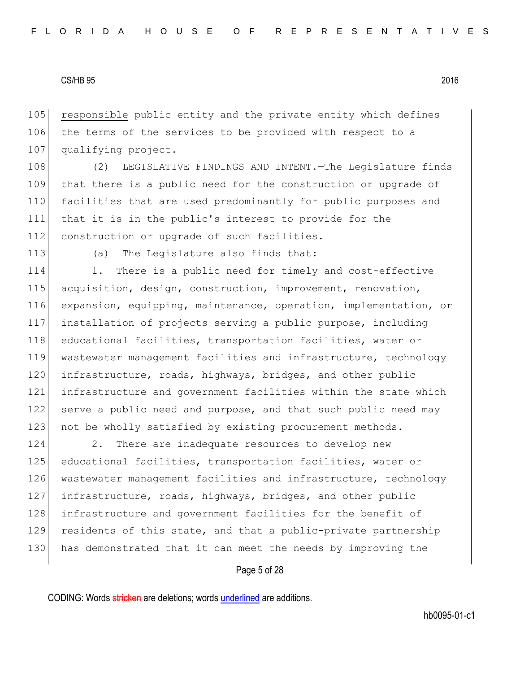105 responsible public entity and the private entity which defines 106 the terms of the services to be provided with respect to a 107 qualifying project.

108 (2) LEGISLATIVE FINDINGS AND INTENT. The Legislature finds 109 that there is a public need for the construction or upgrade of 110 facilities that are used predominantly for public purposes and 111 that it is in the public's interest to provide for the 112 construction or upgrade of such facilities.

113 (a) The Legislature also finds that:

114 1. There is a public need for timely and cost-effective 115 acquisition, design, construction, improvement, renovation, 116 expansion, equipping, maintenance, operation, implementation, or 117 installation of projects serving a public purpose, including 118 educational facilities, transportation facilities, water or 119 wastewater management facilities and infrastructure, technology 120 infrastructure, roads, highways, bridges, and other public 121 infrastructure and government facilities within the state which 122 serve a public need and purpose, and that such public need may 123 not be wholly satisfied by existing procurement methods.

124 2. There are inadequate resources to develop new 125 educational facilities, transportation facilities, water or 126 wastewater management facilities and infrastructure, technology 127 infrastructure, roads, highways, bridges, and other public 128 infrastructure and government facilities for the benefit of 129 residents of this state, and that a public-private partnership 130 has demonstrated that it can meet the needs by improving the

Page 5 of 28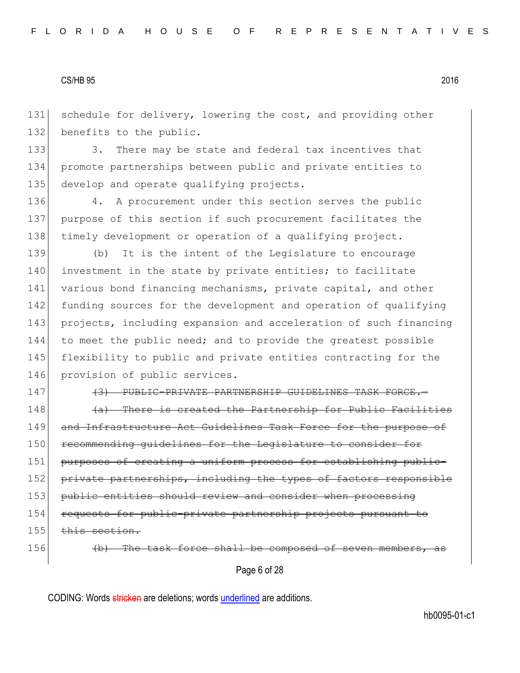131 schedule for delivery, lowering the cost, and providing other 132 benefits to the public.

133 3. There may be state and federal tax incentives that 134 promote partnerships between public and private entities to 135 develop and operate qualifying projects.

136 4. A procurement under this section serves the public 137 purpose of this section if such procurement facilitates the 138 timely development or operation of a qualifying project.

139 (b) It is the intent of the Legislature to encourage 140 investment in the state by private entities; to facilitate 141 various bond financing mechanisms, private capital, and other 142 funding sources for the development and operation of qualifying 143 projects, including expansion and acceleration of such financing 144 to meet the public need; and to provide the greatest possible 145 flexibility to public and private entities contracting for the 146 provision of public services.

147 (3) PUBLIC-PRIVATE PARTNERSHIP GUIDELINES TASK FORCE.

 $148$  (a) There is created the Partnership for Public Facilities 149 and Infrastructure Act Guidelines Task Force for the purpose of 150 recommending guidelines for the Legislature to consider for 151 purposes of creating a uniform process for establishing public-152 private partnerships, including the types of factors responsible 153 public entities should review and consider when processing 154 requests for public-private partnership projects pursuant to 155 this section.

156 (b) The task force shall be composed of seven membe

Page 6 of 28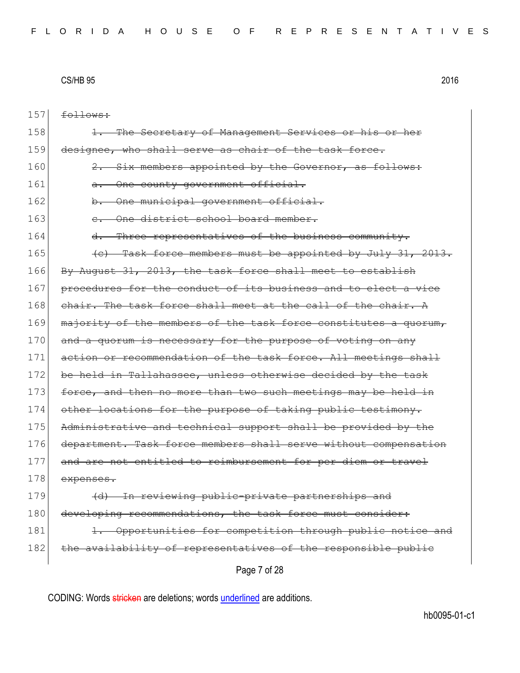157 follows:

| 158 | The Secretary of Management Services or his or her              |
|-----|-----------------------------------------------------------------|
| 159 | designee, who shall serve as chair of the task force.           |
| 160 | 2. Six members appointed by the Governor, as follows:           |
| 161 | One county government official.<br>$\theta$ .                   |
| 162 | -One municipal government official.<br><del>b.</del>            |
| 163 | One district school board member.<br>$e_{\cdot}$                |
| 164 | d. Three representatives of the business community.             |
| 165 | (c) Task force members must be appointed by July 31, 2013.      |
| 166 | By August 31, 2013, the task force shall meet to establish      |
| 167 | procedures for the conduct of its business and to elect a vice  |
| 168 | chair. The task force shall meet at the call of the chair. A    |
| 169 | majority of the members of the task force constitutes a quorum, |
| 170 | and a quorum is necessary for the purpose of voting on any      |
| 171 | action or recommendation of the task force. All meetings shall  |
| 172 | be held in Tallahassee, unless otherwise decided by the task    |
| 173 | force, and then no more than two such meetings may be held in   |
| 174 | other locations for the purpose of taking public testimony.     |
| 175 | Administrative and technical support shall be provided by the   |
| 176 | department. Task force members shall serve without compensation |
| 177 | and are not entitled to reimbursement for per diem or travel    |
| 178 | expenses.                                                       |
| 179 | (d) In reviewing public-private partnerships and                |
| 180 | developing recommendations, the task force must consider:       |
| 181 | Opportunities for competition through public notice and         |
| 182 | the availability of representatives of the responsible public   |
|     | Page 7 of 28                                                    |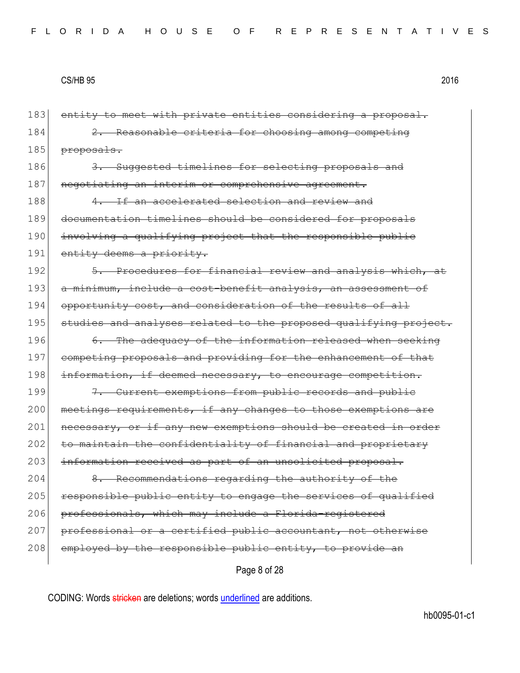Page 8 of 28 183 entity to meet with private entities considering a proposal. 184 2. Reasonable criteria for choosing among competing 185 <del>proposals.</del> 186 3. Suggested timelines for selecting proposals and 187 negotiating an interim or comprehensive agreement. 188 4. If an accelerated selection and review and 189 documentation timelines should be considered for proposals 190 involving a qualifying project that the responsible public 191 entity deems a priority. 192 5. Procedures for financial review and analysis which, at 193 a minimum, include a cost-benefit analysis, an assessment of 194 opportunity cost, and consideration of the results of all 195 studies and analyses related to the proposed qualifying project. 196 6. The adequacy of the information released when seeking 197 competing proposals and providing for the enhancement of that 198 information, if deemed necessary, to encourage competition. 199 7. Current exemptions from public records and public 200 meetings requirements, if any changes to those exemptions are 201 necessary, or if any new exemptions should be created in order 202 to maintain the confidentiality of financial and proprictary 203 information received as part of an unsolicited proposal. 204 8. Recommendations regarding the authority of the 205 responsible public entity to engage the services of qualified 206 professionals, which may include a Florida-registered 207 professional or a certified public accountant, not otherwise 208 employed by the responsible public entity, to provide an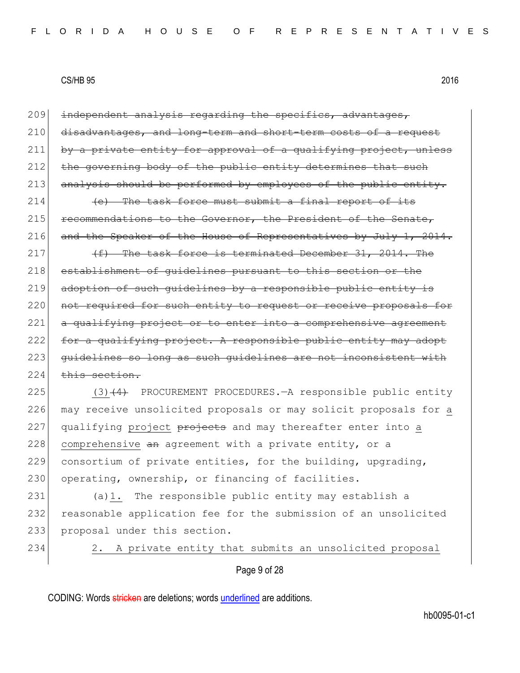209 independent analysis regarding the specifics, advantages, 210 disadvantages, and long-term and short-term costs of a request 211 by a private entity for approval of a qualifying project, unless 212 the governing body of the public entity determines that such 213 analysis should be performed by employees of the public entity.

 $214$  (e) The task force must submit a final report of its  $215$  recommendations to the Governor, the President of the Senate, 216 and the Speaker of the House of Representatives by July 1, 2014.

217  $(f)$  The task force is terminated December 31, 2014. The 218 establishment of quidelines pursuant to this section or the 219 adoption of such guidelines by a responsible public entity is 220 not required for such entity to request or receive proposals for 221 a qualifying project or to enter into a comprehensive agreement 222 for a qualifying project. A responsible public entity may adopt 223 guidelines so long as such quidelines are not inconsistent with  $224$  this section.

225 (3)(4) PROCUREMENT PROCEDURES.—A responsible public entity 226 may receive unsolicited proposals or may solicit proposals for a  $227$  qualifying project  $\theta$  projects and may thereafter enter into a 228 comprehensive an agreement with a private entity, or a 229 consortium of private entities, for the building, upgrading, 230 operating, ownership, or financing of facilities.

231 (a)1. The responsible public entity may establish a 232 reasonable application fee for the submission of an unsolicited 233 proposal under this section.

234 2. A private entity that submits an unsolicited proposal

Page 9 of 28

CODING: Words stricken are deletions; words underlined are additions.

hb0095-01-c1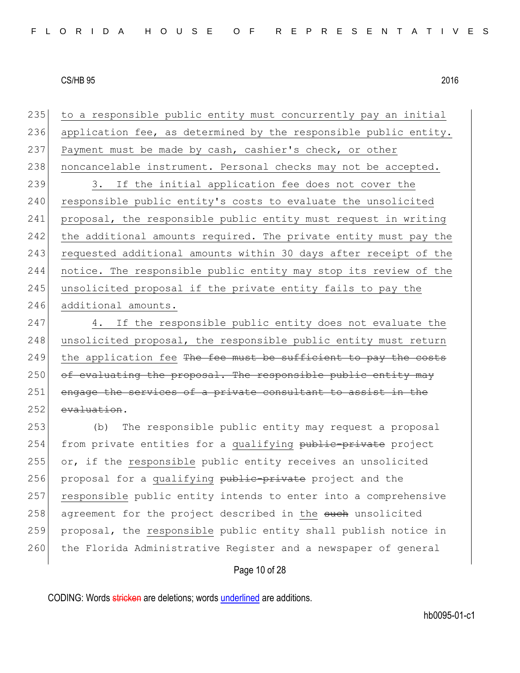| 235 | to a responsible public entity must concurrently pay an initial  |
|-----|------------------------------------------------------------------|
| 236 | application fee, as determined by the responsible public entity. |
| 237 | Payment must be made by cash, cashier's check, or other          |
| 238 | noncancelable instrument. Personal checks may not be accepted.   |
| 239 | 3. If the initial application fee does not cover the             |
| 240 | responsible public entity's costs to evaluate the unsolicited    |
| 241 | proposal, the responsible public entity must request in writing  |
| 242 | the additional amounts required. The private entity must pay the |
| 243 | requested additional amounts within 30 days after receipt of the |
| 244 | notice. The responsible public entity may stop its review of the |
| 245 | unsolicited proposal if the private entity fails to pay the      |
| 246 | additional amounts.                                              |
| 247 | 4. If the responsible public entity does not evaluate the        |
| 248 | unsolicited proposal, the responsible public entity must return  |
| 249 | the application fee The fee must be sufficient to pay the costs  |
| 250 | of evaluating the proposal. The responsible public entity may    |
| 251 | engage the services of a private consultant to assist in the     |
| 252 | evaluation.                                                      |
| 253 | The responsible public entity may request a proposal<br>(b)      |
| 254 | from private entities for a qualifying public-private project    |
| 255 | or, if the responsible public entity receives an unsolicited     |
| 256 | proposal for a qualifying public-private project and the         |
| 257 | responsible public entity intends to enter into a comprehensive  |
| 258 | agreement for the project described in the such unsolicited      |
| 259 | proposal, the responsible public entity shall publish notice in  |
| 260 | the Florida Administrative Register and a newspaper of general   |
|     | Page 10 of 28                                                    |
|     |                                                                  |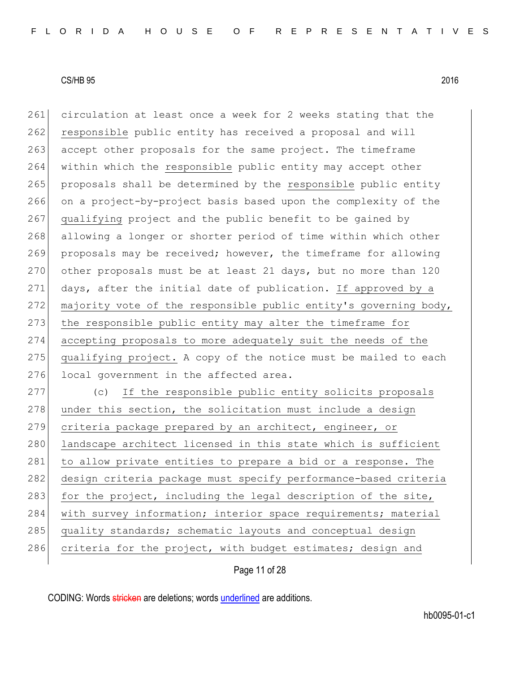261 circulation at least once a week for 2 weeks stating that the 262 responsible public entity has received a proposal and will 263 accept other proposals for the same project. The timeframe 264 within which the responsible public entity may accept other 265 proposals shall be determined by the responsible public entity 266 on a project-by-project basis based upon the complexity of the 267 qualifying project and the public benefit to be gained by 268 allowing a longer or shorter period of time within which other 269 proposals may be received; however, the timeframe for allowing 270 other proposals must be at least 21 days, but no more than 120 271 days, after the initial date of publication. If approved by a 272 majority vote of the responsible public entity's governing body, 273 the responsible public entity may alter the timeframe for 274 accepting proposals to more adequately suit the needs of the 275 qualifying project. A copy of the notice must be mailed to each 276 local government in the affected area. 277 (c) If the responsible public entity solicits proposals  $278$  under this section, the solicitation must include a design 279 criteria package prepared by an architect, engineer, or 280 landscape architect licensed in this state which is sufficient 281 to allow private entities to prepare a bid or a response. The 282 design criteria package must specify performance-based criteria 283 for the project, including the legal description of the site, 284 with survey information; interior space requirements; material 285 quality standards; schematic layouts and conceptual design 286 criteria for the project, with budget estimates; design and

Page 11 of 28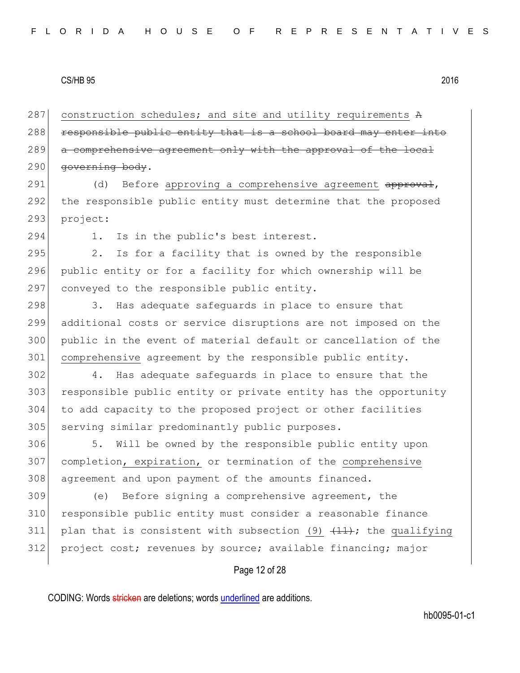287 construction schedules; and site and utility requirements A 288 responsible public entity that is a school board may enter into 289 a comprehensive agreement only with the approval of the local 290 governing body.

291 (d) Before approving a comprehensive agreement approval, 292 the responsible public entity must determine that the proposed 293 project:

294 1. Is in the public's best interest.

 $295$  2. Is for a facility that is owned by the responsible 296 public entity or for a facility for which ownership will be 297 conveyed to the responsible public entity.

298 3. Has adequate safequards in place to ensure that 299 additional costs or service disruptions are not imposed on the 300 public in the event of material default or cancellation of the 301 comprehensive agreement by the responsible public entity.

302 4. Has adequate safeguards in place to ensure that the 303 responsible public entity or private entity has the opportunity 304 to add capacity to the proposed project or other facilities 305 serving similar predominantly public purposes.

306 5. Will be owned by the responsible public entity upon 307 completion, expiration, or termination of the comprehensive 308 agreement and upon payment of the amounts financed.

309 (e) Before signing a comprehensive agreement, the 310 responsible public entity must consider a reasonable finance 311 plan that is consistent with subsection (9)  $\{11\}$ ; the qualifying 312 project cost; revenues by source; available financing; major

## Page 12 of 28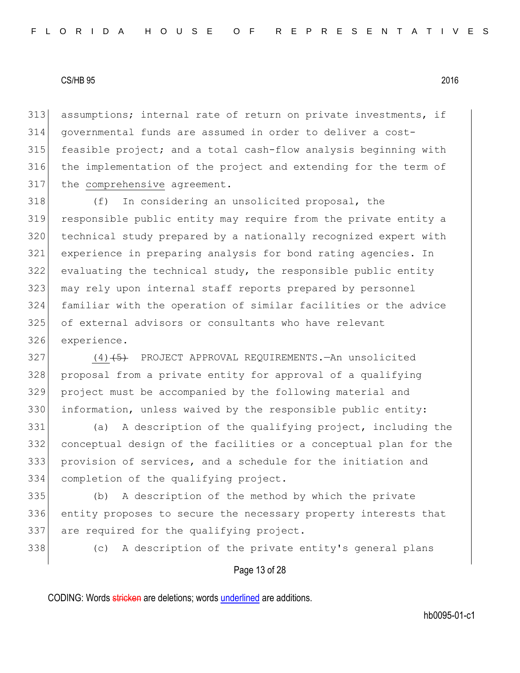assumptions; internal rate of return on private investments, if governmental funds are assumed in order to deliver a cost-315 feasible project; and a total cash-flow analysis beginning with the implementation of the project and extending for the term of 317 the comprehensive agreement.

 (f) In considering an unsolicited proposal, the responsible public entity may require from the private entity a technical study prepared by a nationally recognized expert with experience in preparing analysis for bond rating agencies. In evaluating the technical study, the responsible public entity 323 may rely upon internal staff reports prepared by personnel familiar with the operation of similar facilities or the advice of external advisors or consultants who have relevant experience.

327 (4)<del>(5)</del> PROJECT APPROVAL REQUIREMENTS.—An unsolicited 328 proposal from a private entity for approval of a qualifying project must be accompanied by the following material and information, unless waived by the responsible public entity:

 (a) A description of the qualifying project, including the conceptual design of the facilities or a conceptual plan for the provision of services, and a schedule for the initiation and completion of the qualifying project.

 (b) A description of the method by which the private 336 entity proposes to secure the necessary property interests that 337 are required for the qualifying project.

(c) A description of the private entity's general plans

## Page 13 of 28

CODING: Words stricken are deletions; words underlined are additions.

hb0095-01-c1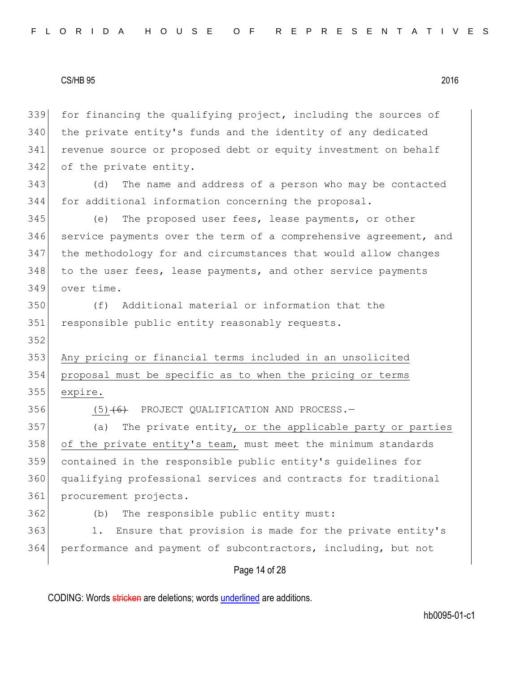for financing the qualifying project, including the sources of the private entity's funds and the identity of any dedicated revenue source or proposed debt or equity investment on behalf 342 of the private entity.

343 (d) The name and address of a person who may be contacted 344 for additional information concerning the proposal.

 (e) The proposed user fees, lease payments, or other service payments over the term of a comprehensive agreement, and the methodology for and circumstances that would allow changes 348 to the user fees, lease payments, and other service payments over time.

350 (f) Additional material or information that the 351 responsible public entity reasonably requests.

353 Any pricing or financial terms included in an unsolicited 354 proposal must be specific as to when the pricing or terms 355 expire.

352

356  $(5)$   $(6)$  PROJECT QUALIFICATION AND PROCESS.

357 (a) The private entity, or the applicable party or parties 358 of the private entity's team, must meet the minimum standards 359 contained in the responsible public entity's guidelines for 360 qualifying professional services and contracts for traditional 361 procurement projects.

362 (b) The responsible public entity must:

363 1. Ensure that provision is made for the private entity's 364 performance and payment of subcontractors, including, but not

## Page 14 of 28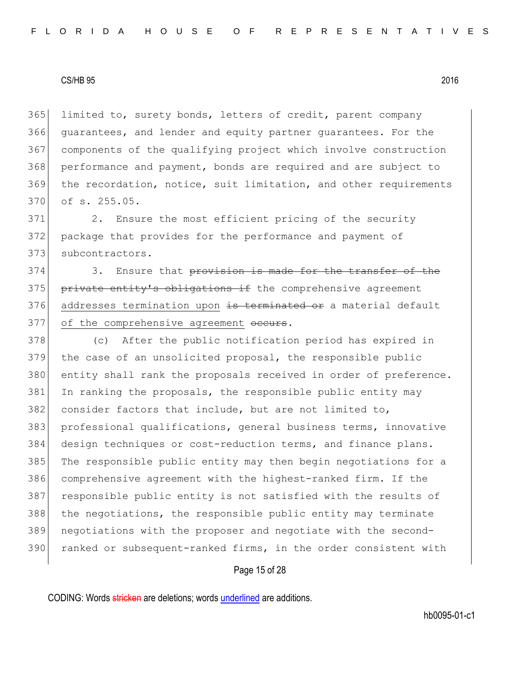limited to, surety bonds, letters of credit, parent company guarantees, and lender and equity partner guarantees. For the components of the qualifying project which involve construction performance and payment, bonds are required and are subject to the recordation, notice, suit limitation, and other requirements of s. 255.05.

371 2. Ensure the most efficient pricing of the security 372 package that provides for the performance and payment of 373 subcontractors.

374 3. Ensure that provision is made for the transfer of the 375 private entity's obligations if the comprehensive agreement 376 addresses termination upon is terminated or a material default 377 of the comprehensive agreement occurs.

378 (c) After the public notification period has expired in 379 the case of an unsolicited proposal, the responsible public 380 entity shall rank the proposals received in order of preference. 381 In ranking the proposals, the responsible public entity may 382 consider factors that include, but are not limited to, 383 professional qualifications, general business terms, innovative 384 design techniques or cost-reduction terms, and finance plans. 385 The responsible public entity may then begin negotiations for a 386 comprehensive agreement with the highest-ranked firm. If the 387 responsible public entity is not satisfied with the results of 388 the negotiations, the responsible public entity may terminate 389 negotiations with the proposer and negotiate with the second-390 ranked or subsequent-ranked firms, in the order consistent with

## Page 15 of 28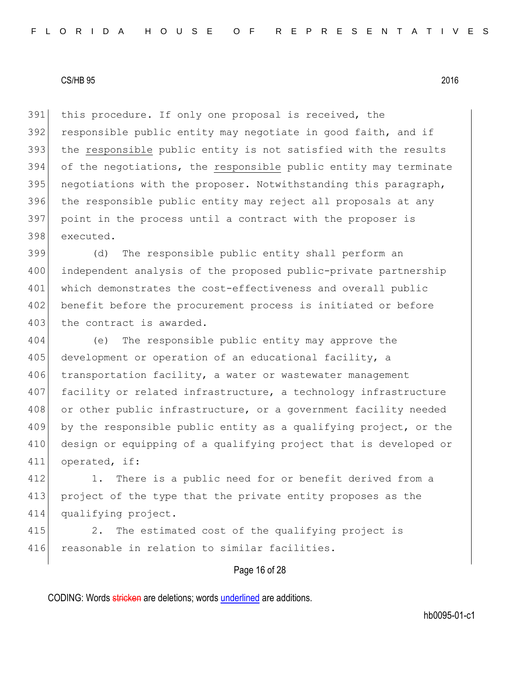this procedure. If only one proposal is received, the 392 responsible public entity may negotiate in good faith, and if 393 the responsible public entity is not satisfied with the results of the negotiations, the responsible public entity may terminate 395 negotiations with the proposer. Notwithstanding this paragraph, the responsible public entity may reject all proposals at any point in the process until a contract with the proposer is executed.

399 (d) The responsible public entity shall perform an 400 independent analysis of the proposed public-private partnership 401 which demonstrates the cost-effectiveness and overall public 402 benefit before the procurement process is initiated or before 403 the contract is awarded.

404 (e) The responsible public entity may approve the 405 development or operation of an educational facility, a 406 transportation facility, a water or wastewater management 407 facility or related infrastructure, a technology infrastructure 408 or other public infrastructure, or a government facility needed 409 by the responsible public entity as a qualifying project, or the 410 design or equipping of a qualifying project that is developed or 411 operated, if:

412 1. There is a public need for or benefit derived from a 413 project of the type that the private entity proposes as the 414 qualifying project.

415 2. The estimated cost of the qualifying project is 416 reasonable in relation to similar facilities.

## Page 16 of 28

CODING: Words stricken are deletions; words underlined are additions.

hb0095-01-c1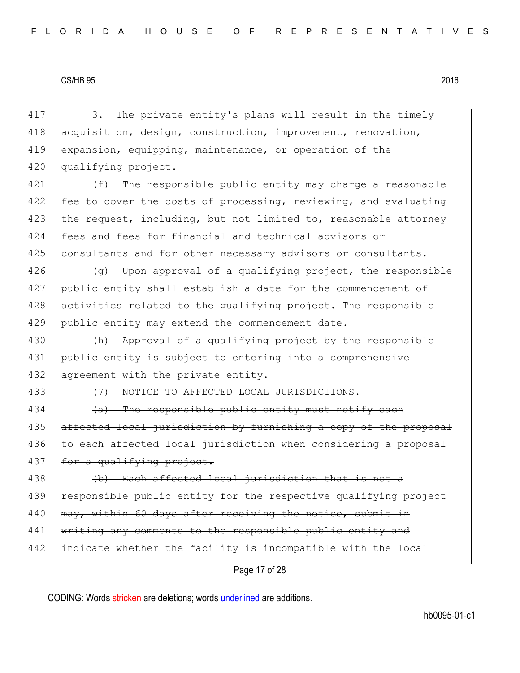417 3. The private entity's plans will result in the timely 418 acquisition, design, construction, improvement, renovation, 419 expansion, equipping, maintenance, or operation of the 420 qualifying project.

421 (f) The responsible public entity may charge a reasonable 422 fee to cover the costs of processing, reviewing, and evaluating 423 the request, including, but not limited to, reasonable attorney 424 fees and fees for financial and technical advisors or 425 consultants and for other necessary advisors or consultants.

 $(q)$  Upon approval of a qualifying project, the responsible public entity shall establish a date for the commencement of 428 activities related to the qualifying project. The responsible public entity may extend the commencement date.

430 (h) Approval of a qualifying project by the responsible 431 public entity is subject to entering into a comprehensive 432 agreement with the private entity.

433 (7) NOTICE TO AFFECTED LOCAL JURISDICTIONS.

434  $\left( a\right)$  The responsible public entity must notify each 435 affected local jurisdiction by furnishing a copy of the proposal 436 to each affected local jurisdiction when considering a proposal 437 for a qualifying project.

438 (d) Each affected local jurisdiction that is not a 439 responsible public entity for the respective qualifying project 440 may, within 60 days after receiving the notice, submit in 441 writing any comments to the responsible public entity and 442 indicate whether the facility is incompatible with the local

Page 17 of 28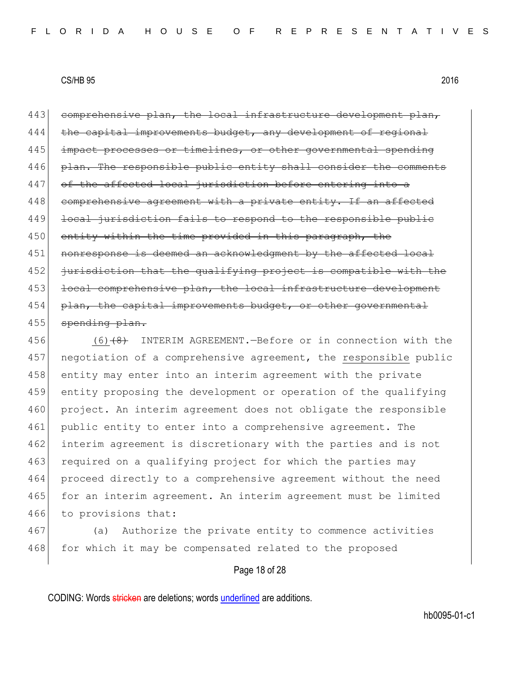443 comprehensive plan, the local infrastructure development plan, 444 the capital improvements budget, any development of regional 445 impact processes or timelines, or other governmental spending 446 plan. The responsible public entity shall consider the comments 447 of the affected local jurisdiction before entering into a 448 comprehensive agreement with a private entity. If an affected 449 local jurisdiction fails to respond to the responsible public 450 entity within the time provided in this paragraph, the 451 nonresponse is deemed an acknowledgment by the affected local 452 jurisdiction that the qualifying project is compatible with the 453 local comprehensive plan, the local infrastructure development 454 plan, the capital improvements budget, or other governmental 455 spending plan.

456 (6)<del>(8)</del> INTERIM AGREEMENT.—Before or in connection with the 457 negotiation of a comprehensive agreement, the responsible public 458 entity may enter into an interim agreement with the private 459 entity proposing the development or operation of the qualifying 460 project. An interim agreement does not obligate the responsible 461 public entity to enter into a comprehensive agreement. The 462 interim agreement is discretionary with the parties and is not 463 required on a qualifying project for which the parties may 464 proceed directly to a comprehensive agreement without the need 465 for an interim agreement. An interim agreement must be limited 466 to provisions that:

467 (a) Authorize the private entity to commence activities 468 for which it may be compensated related to the proposed

#### Page 18 of 28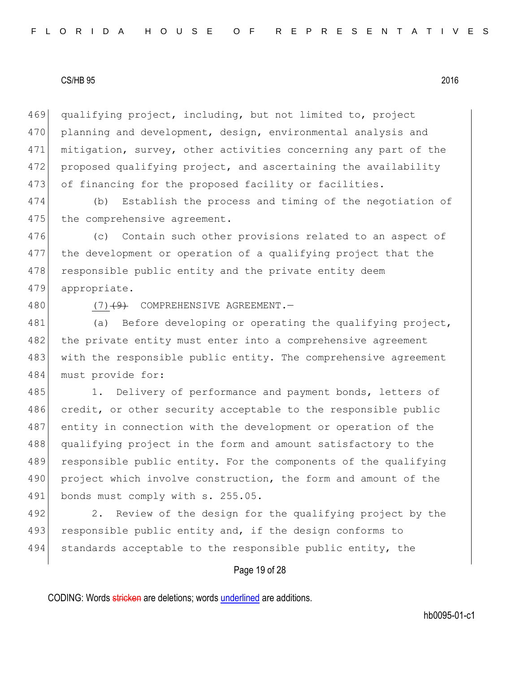469 qualifying project, including, but not limited to, project 470 planning and development, design, environmental analysis and 471 mitigation, survey, other activities concerning any part of the 472 proposed qualifying project, and ascertaining the availability 473 of financing for the proposed facility or facilities.

474 (b) Establish the process and timing of the negotiation of 475 the comprehensive agreement.

476 (c) Contain such other provisions related to an aspect of 477 the development or operation of a qualifying project that the 478 responsible public entity and the private entity deem 479 appropriate.

480 (7)<del>(9)</del> COMPREHENSIVE AGREEMENT.

481 (a) Before developing or operating the qualifying project, 482 the private entity must enter into a comprehensive agreement 483 with the responsible public entity. The comprehensive agreement 484 must provide for:

485 1. Delivery of performance and payment bonds, letters of 486 credit, or other security acceptable to the responsible public 487 entity in connection with the development or operation of the 488 qualifying project in the form and amount satisfactory to the 489 responsible public entity. For the components of the qualifying 490 project which involve construction, the form and amount of the 491 bonds must comply with s. 255.05.

492 2. Review of the design for the qualifying project by the 493 responsible public entity and, if the design conforms to 494 standards acceptable to the responsible public entity, the

## Page 19 of 28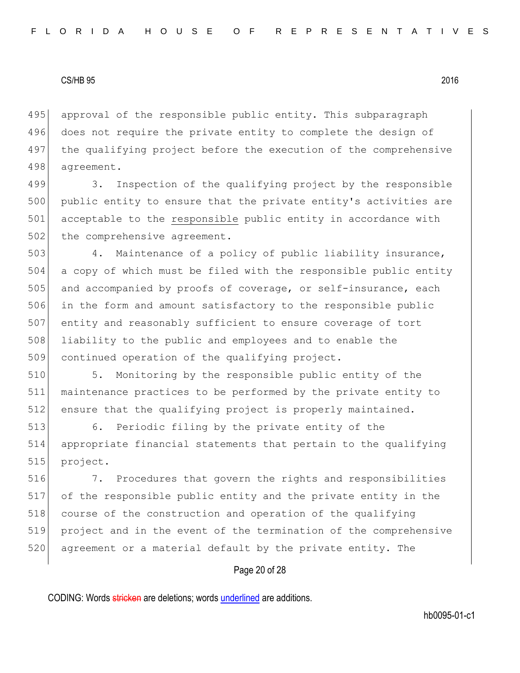495 approval of the responsible public entity. This subparagraph 496 does not require the private entity to complete the design of 497 the qualifying project before the execution of the comprehensive 498 agreement.

499 3. Inspection of the qualifying project by the responsible 500 public entity to ensure that the private entity's activities are 501 acceptable to the responsible public entity in accordance with 502 the comprehensive agreement.

 4. Maintenance of a policy of public liability insurance, a copy of which must be filed with the responsible public entity 505 and accompanied by proofs of coverage, or self-insurance, each in the form and amount satisfactory to the responsible public entity and reasonably sufficient to ensure coverage of tort liability to the public and employees and to enable the 509 continued operation of the qualifying project.

510 5. Monitoring by the responsible public entity of the 511 maintenance practices to be performed by the private entity to 512 ensure that the qualifying project is properly maintained.

513 6. Periodic filing by the private entity of the 514 appropriate financial statements that pertain to the qualifying 515 project.

516 7. Procedures that govern the rights and responsibilities 517 of the responsible public entity and the private entity in the 518 course of the construction and operation of the qualifying 519 project and in the event of the termination of the comprehensive 520 agreement or a material default by the private entity. The

## Page 20 of 28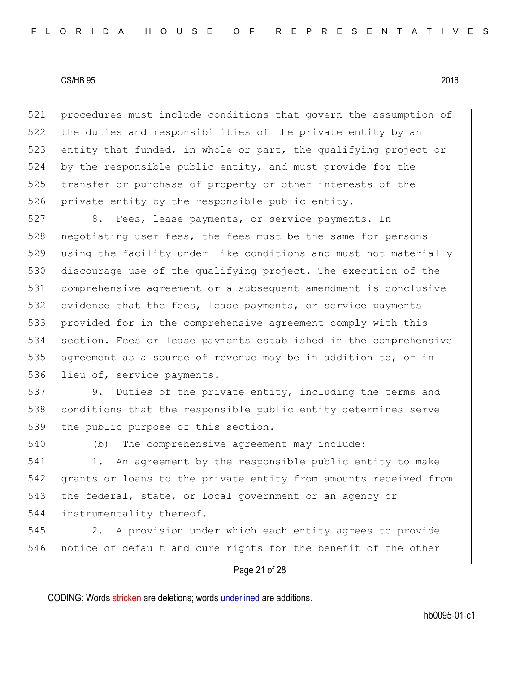procedures must include conditions that govern the assumption of the duties and responsibilities of the private entity by an 523 entity that funded, in whole or part, the qualifying project or by the responsible public entity, and must provide for the 525 transfer or purchase of property or other interests of the private entity by the responsible public entity.

 8. Fees, lease payments, or service payments. In 528 negotiating user fees, the fees must be the same for persons using the facility under like conditions and must not materially 530 discourage use of the qualifying project. The execution of the comprehensive agreement or a subsequent amendment is conclusive evidence that the fees, lease payments, or service payments provided for in the comprehensive agreement comply with this section. Fees or lease payments established in the comprehensive agreement as a source of revenue may be in addition to, or in 536 lieu of, service payments.

537 9. Duties of the private entity, including the terms and 538 conditions that the responsible public entity determines serve 539 the public purpose of this section.

540 (b) The comprehensive agreement may include:

541 1. An agreement by the responsible public entity to make 542 grants or loans to the private entity from amounts received from 543 the federal, state, or local government or an agency or 544 instrumentality thereof.

545 2. A provision under which each entity agrees to provide 546 notice of default and cure rights for the benefit of the other

## Page 21 of 28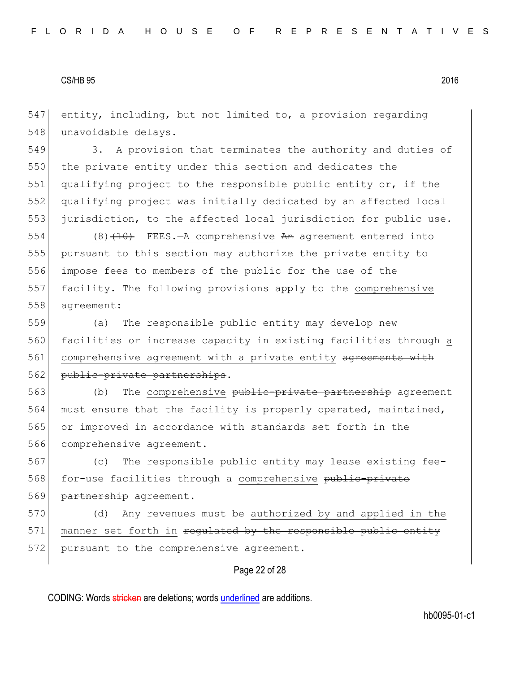547 entity, including, but not limited to, a provision regarding 548 unavoidable delays.

549 3. A provision that terminates the authority and duties of 550 the private entity under this section and dedicates the 551 qualifying project to the responsible public entity or, if the 552 qualifying project was initially dedicated by an affected local 553 jurisdiction, to the affected local jurisdiction for public use.

554 (8) $(10)$  FEES.—A comprehensive An agreement entered into pursuant to this section may authorize the private entity to impose fees to members of the public for the use of the facility. The following provisions apply to the comprehensive agreement:

559 (a) The responsible public entity may develop new 560 facilities or increase capacity in existing facilities through a 561 comprehensive agreement with a private entity agreements with 562 public-private partnerships.

563 (b) The comprehensive public-private partnership agreement 564 must ensure that the facility is properly operated, maintained, 565 or improved in accordance with standards set forth in the 566 comprehensive agreement.

567 (c) The responsible public entity may lease existing fee-568 for-use facilities through a comprehensive public-private 569 partnership agreement.

570 (d) Any revenues must be authorized by and applied in the 571 manner set forth in regulated by the responsible public entity 572 <del>pursuant to</del> the comprehensive agreement.

## Page 22 of 28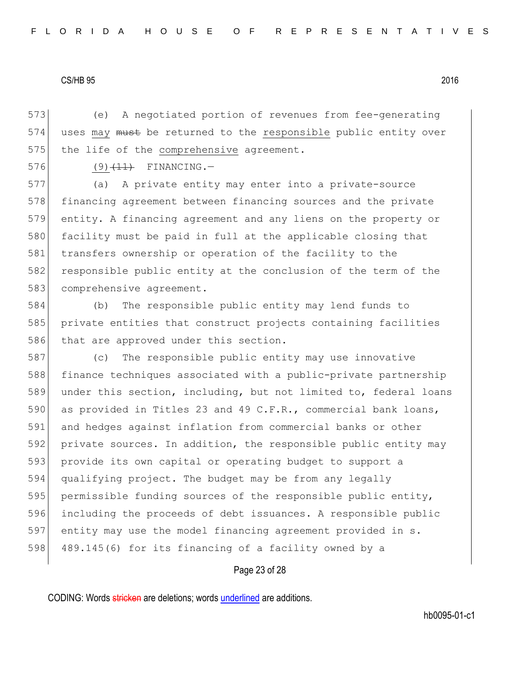573 (e) A negotiated portion of revenues from fee-generating 574 uses may must be returned to the responsible public entity over 575 the life of the comprehensive agreement.

576 (9)  $(11)$  FINANCING.

577 (a) A private entity may enter into a private-source 578 financing agreement between financing sources and the private 579 entity. A financing agreement and any liens on the property or 580 facility must be paid in full at the applicable closing that 581 transfers ownership or operation of the facility to the 582 responsible public entity at the conclusion of the term of the 583 comprehensive agreement.

584 (b) The responsible public entity may lend funds to 585 private entities that construct projects containing facilities 586 that are approved under this section.

587 (c) The responsible public entity may use innovative 588 finance techniques associated with a public-private partnership 589 under this section, including, but not limited to, federal loans 590 as provided in Titles 23 and 49 C.F.R., commercial bank loans, 591 and hedges against inflation from commercial banks or other 592 private sources. In addition, the responsible public entity may 593 provide its own capital or operating budget to support a 594 qualifying project. The budget may be from any legally 595 permissible funding sources of the responsible public entity, 596 including the proceeds of debt issuances. A responsible public 597 entity may use the model financing agreement provided in s. 598 489.145(6) for its financing of a facility owned by a

### Page 23 of 28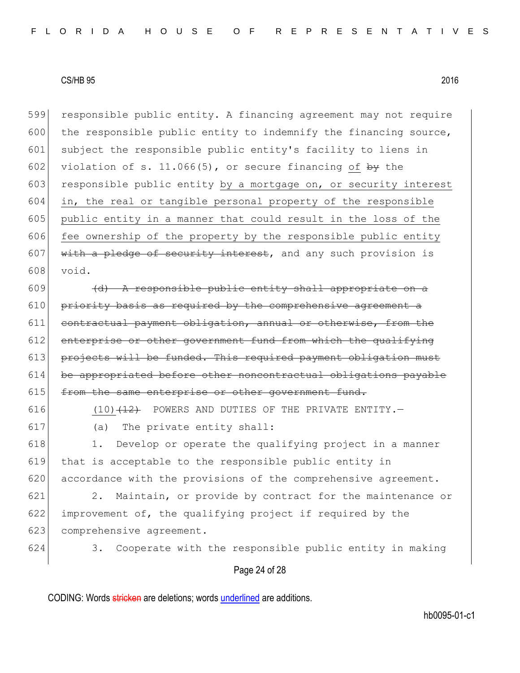599 responsible public entity. A financing agreement may not require 600 the responsible public entity to indemnify the financing source, 601 subject the responsible public entity's facility to liens in 602 violation of s. 11.066(5), or secure financing of  $\frac{by}{y}$  the 603 responsible public entity by a mortgage on, or security interest  $604$  in, the real or tangible personal property of the responsible 605 public entity in a manner that could result in the loss of the  $606$  fee ownership of the property by the responsible public entity 607 with a pledge of security interest, and any such provision is 608 void.

 (d) A responsible public entity shall appropriate on a priority basis as required by the comprehensive agreement a 611 contractual payment obligation, annual or otherwise, from the enterprise or other government fund from which the qualifying 613 projects will be funded. This required payment obligation must be appropriated before other noncontractual obligations payable  $\vert$  from the same enterprise or other government fund.

616  $(10)$   $(12)$  POWERS AND DUTIES OF THE PRIVATE ENTITY. 617 (a) The private entity shall:

618 1. Develop or operate the qualifying project in a manner 619 that is acceptable to the responsible public entity in 620 accordance with the provisions of the comprehensive agreement.

621 2. Maintain, or provide by contract for the maintenance or 622 improvement of, the qualifying project if required by the 623 comprehensive agreement.

624 3. Cooperate with the responsible public entity in making

### Page 24 of 28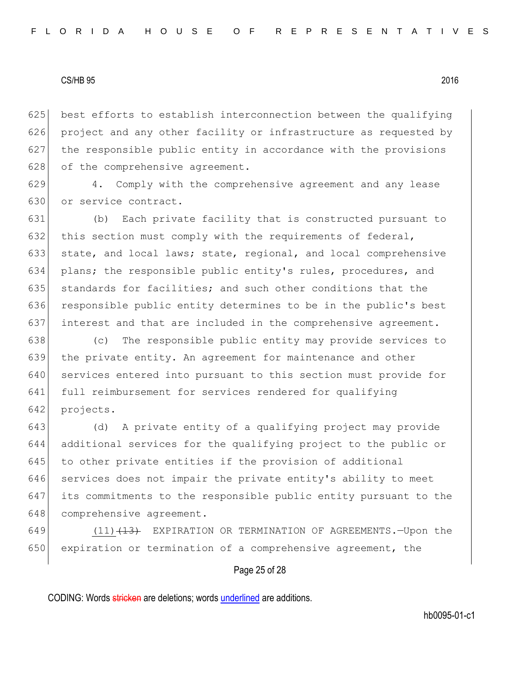best efforts to establish interconnection between the qualifying project and any other facility or infrastructure as requested by the responsible public entity in accordance with the provisions 628 of the comprehensive agreement.

629 4. Comply with the comprehensive agreement and any lease 630 or service contract.

631 (b) Each private facility that is constructed pursuant to 632 this section must comply with the requirements of federal, 633 state, and local laws; state, regional, and local comprehensive 634 plans; the responsible public entity's rules, procedures, and 635 standards for facilities; and such other conditions that the 636 responsible public entity determines to be in the public's best 637 interest and that are included in the comprehensive agreement.

 (c) The responsible public entity may provide services to the private entity. An agreement for maintenance and other 640 services entered into pursuant to this section must provide for full reimbursement for services rendered for qualifying projects.

643 (d) A private entity of a qualifying project may provide 644 additional services for the qualifying project to the public or 645 to other private entities if the provision of additional 646 services does not impair the private entity's ability to meet 647 its commitments to the responsible public entity pursuant to the 648 comprehensive agreement.

649 (11)<del>(13)</del> EXPIRATION OR TERMINATION OF AGREEMENTS.—Upon the 650 expiration or termination of a comprehensive agreement, the

## Page 25 of 28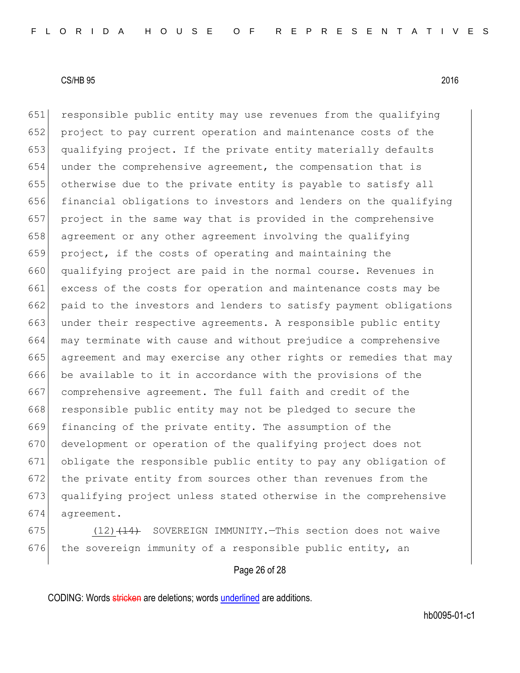651 responsible public entity may use revenues from the qualifying project to pay current operation and maintenance costs of the 653 qualifying project. If the private entity materially defaults under the comprehensive agreement, the compensation that is otherwise due to the private entity is payable to satisfy all financial obligations to investors and lenders on the qualifying project in the same way that is provided in the comprehensive 658 agreement or any other agreement involving the qualifying project, if the costs of operating and maintaining the qualifying project are paid in the normal course. Revenues in excess of the costs for operation and maintenance costs may be paid to the investors and lenders to satisfy payment obligations 663 under their respective agreements. A responsible public entity may terminate with cause and without prejudice a comprehensive agreement and may exercise any other rights or remedies that may be available to it in accordance with the provisions of the 667 comprehensive agreement. The full faith and credit of the 668 responsible public entity may not be pledged to secure the financing of the private entity. The assumption of the development or operation of the qualifying project does not obligate the responsible public entity to pay any obligation of the private entity from sources other than revenues from the qualifying project unless stated otherwise in the comprehensive agreement.

675  $(12)$   $(14)$  SOVEREIGN IMMUNITY. This section does not waive 676 the sovereign immunity of a responsible public entity, an

## Page 26 of 28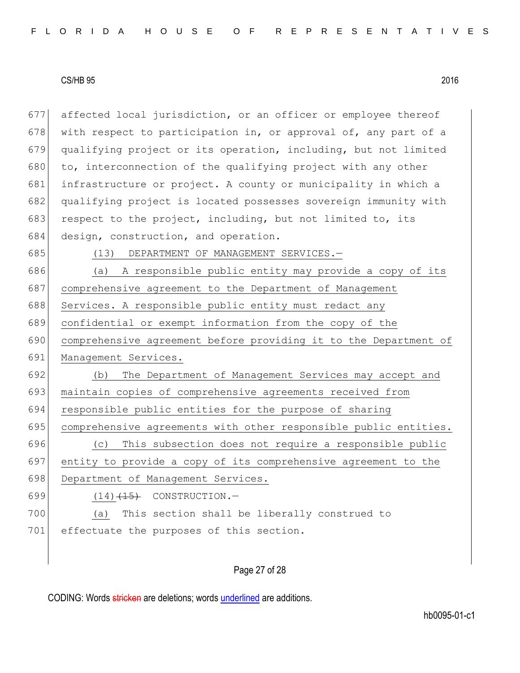677 affected local jurisdiction, or an officer or employee thereof 678 with respect to participation in, or approval of, any part of a 679 qualifying project or its operation, including, but not limited 680 to, interconnection of the qualifying project with any other 681 infrastructure or project. A county or municipality in which a 682 qualifying project is located possesses sovereign immunity with 683 respect to the project, including, but not limited to, its 684 design, construction, and operation. 685 (13) DEPARTMENT OF MANAGEMENT SERVICES.

 (a) A responsible public entity may provide a copy of its 687 comprehensive agreement to the Department of Management 688 Services. A responsible public entity must redact any confidential or exempt information from the copy of the comprehensive agreement before providing it to the Department of 691 Management Services. (b) The Department of Management Services may accept and 693 maintain copies of comprehensive agreements received from responsible public entities for the purpose of sharing comprehensive agreements with other responsible public entities. (c) This subsection does not require a responsible public entity to provide a copy of its comprehensive agreement to the 698 Department of Management Services.  $(14)$   $(15)$  CONSTRUCTION. (a) This section shall be liberally construed to 701 effectuate the purposes of this section.

## Page 27 of 28